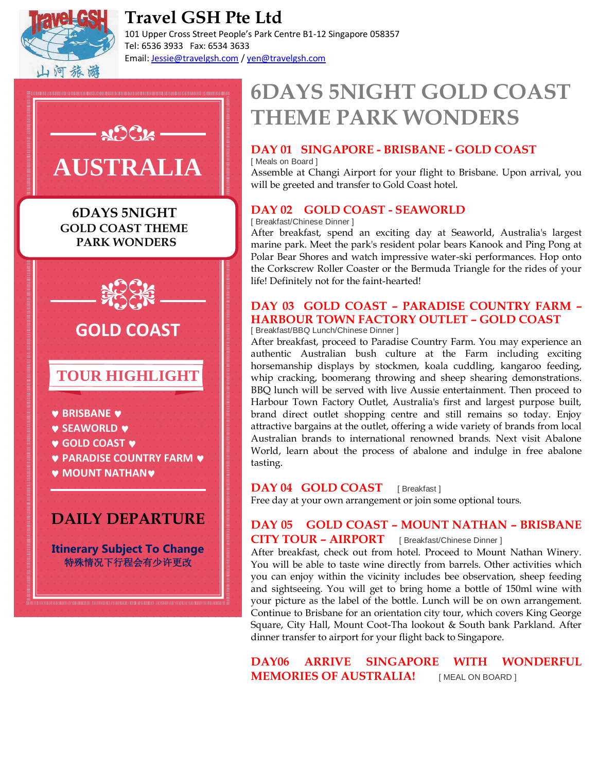

# **Travel GSH Pte Ltd**

101 Upper Cross Street People's Park Centre B1-12 Singapore 058357 Tel: 6536 3933 Fax: 6534 3633 Email: Jessie@travelgsh.com / yen@travelgsh.com



# **6DAYS 5NIGHT GOLD COAST THEME PARK WONDERS**

## **DAY 01 SINGAPORE - BRISBANE - GOLD COAST**

[ Meals on Board ] Assemble at Changi Airport for your flight to Brisbane. Upon arrival, you will be greeted and transfer to Gold Coast hotel.

### **DAY 02 GOLD COAST - SEAWORLD**

[ Breakfast/Chinese Dinner ]

After breakfast, spend an exciting day at Seaworld, Australia's largest marine park. Meet the park's resident polar bears Kanook and Ping Pong at Polar Bear Shores and watch impressive water-ski performances. Hop onto the Corkscrew Roller Coaster or the Bermuda Triangle for the rides of your life! Definitely not for the faint-hearted!

#### **DAY 03 GOLD COAST – PARADISE COUNTRY FARM – HARBOUR TOWN FACTORY OUTLET – GOLD COAST** [ Breakfast/BBQ Lunch/Chinese Dinner ]

After breakfast, proceed to Paradise Country Farm. You may experience an authentic Australian bush culture at the Farm including exciting horsemanship displays by stockmen, koala cuddling, kangaroo feeding, whip cracking, boomerang throwing and sheep shearing demonstrations. BBQ lunch will be served with live Aussie entertainment. Then proceed to Harbour Town Factory Outlet, Australia's first and largest purpose built, brand direct outlet shopping centre and still remains so today. Enjoy attractive bargains at the outlet, offering a wide variety of brands from local Australian brands to international renowned brands. Next visit Abalone World, learn about the process of abalone and indulge in free abalone tasting.

### **DAY 04 GOLD COAST** [ Breakfast ]

Free day at your own arrangement or join some optional tours.

## **DAY 05 GOLD COAST – MOUNT NATHAN – BRISBANE CITY TOUR – AIRPORT** [ Breakfast/Chinese Dinner ]

After breakfast, check out from hotel. Proceed to Mount Nathan Winery. You will be able to taste wine directly from barrels. Other activities which you can enjoy within the vicinity includes bee observation, sheep feeding and sightseeing. You will get to bring home a bottle of 150ml wine with your picture as the label of the bottle. Lunch will be on own arrangement. Continue to Brisbane for an orientation city tour, which covers King George Square, City Hall, Mount Coot-Tha lookout & South bank Parkland. After dinner transfer to airport for your flight back to Singapore.

**DAY06 ARRIVE SINGAPORE WITH WONDERFUL MEMORIES OF AUSTRALIA! IMEAL ON BOARD ]**